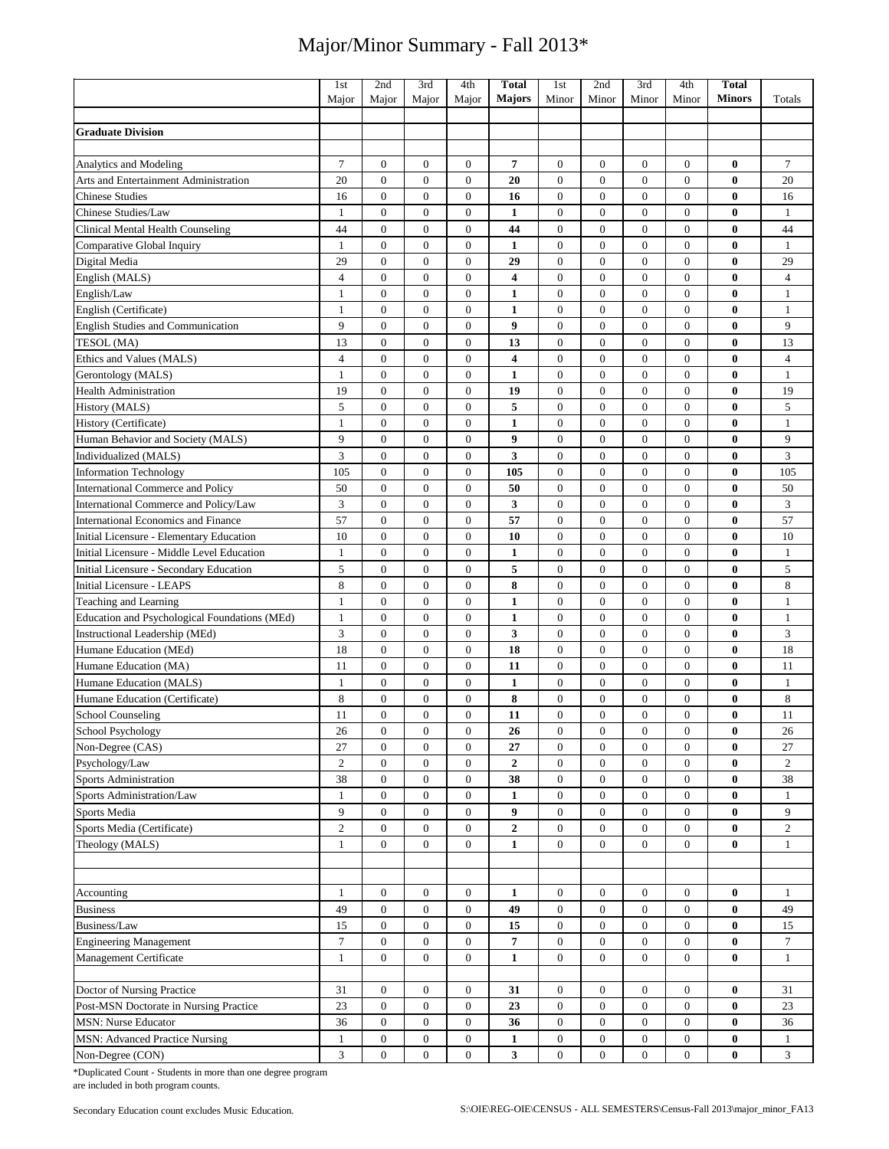|                                               | 1 <sub>st</sub> | 2nd              | 3rd              | 4th              | <b>Total</b>            | 1st              | 2nd              | 3rd              | 4th              | <b>Total</b>  |                             |
|-----------------------------------------------|-----------------|------------------|------------------|------------------|-------------------------|------------------|------------------|------------------|------------------|---------------|-----------------------------|
|                                               | Major           | Major            | Major            | Major            | <b>Majors</b>           | Minor            | Minor            | Minor            | Minor            | <b>Minors</b> | Totals                      |
|                                               |                 |                  |                  |                  |                         |                  |                  |                  |                  |               |                             |
| <b>Graduate Division</b>                      |                 |                  |                  |                  |                         |                  |                  |                  |                  |               |                             |
|                                               |                 |                  |                  |                  |                         |                  |                  |                  |                  |               |                             |
| Analytics and Modeling                        | 7               | $\boldsymbol{0}$ | $\mathbf{0}$     | $\mathbf{0}$     | 7                       | $\overline{0}$   | $\mathbf{0}$     | $\mathbf{0}$     | $\boldsymbol{0}$ | 0             | 7                           |
| Arts and Entertainment Administration         | 20              | $\mathbf{0}$     | $\mathbf{0}$     | $\overline{0}$   | 20                      | $\mathbf{0}$     | $\mathbf{0}$     | $\overline{0}$   | $\boldsymbol{0}$ | $\bf{0}$      | 20                          |
| <b>Chinese Studies</b>                        | 16              | $\mathbf{0}$     | $\overline{0}$   | $\overline{0}$   | 16                      | $\mathbf{0}$     | $\mathbf{0}$     | $\overline{0}$   | $\overline{0}$   | $\bf{0}$      | 16                          |
| Chinese Studies/Law                           | $\mathbf{1}$    | $\mathbf{0}$     | $\boldsymbol{0}$ | $\boldsymbol{0}$ | $\mathbf{1}$            | $\mathbf{0}$     | $\mathbf{0}$     | $\mathbf{0}$     | $\boldsymbol{0}$ | 0             | $\mathbf{1}$                |
| Clinical Mental Health Counseling             | 44              | $\mathbf{0}$     | $\mathbf{0}$     | $\boldsymbol{0}$ | 44                      | $\overline{0}$   | $\mathbf{0}$     | $\mathbf{0}$     | $\boldsymbol{0}$ | $\bf{0}$      | 44                          |
| Comparative Global Inquiry                    | $\mathbf{1}$    | $\mathbf{0}$     | $\mathbf{0}$     | $\boldsymbol{0}$ | 1                       | $\mathbf{0}$     | $\mathbf{0}$     | $\overline{0}$   | $\boldsymbol{0}$ | 0             | $\mathbf{1}$                |
| Digital Media                                 | 29              | $\mathbf{0}$     | $\overline{0}$   | $\boldsymbol{0}$ | 29                      | $\mathbf{0}$     | $\boldsymbol{0}$ | $\mathbf{0}$     | $\boldsymbol{0}$ | 0             | 29                          |
| English (MALS)                                | $\overline{4}$  | $\mathbf{0}$     | $\overline{0}$   | $\overline{0}$   | $\overline{\mathbf{4}}$ | $\mathbf{0}$     | $\overline{0}$   | $\mathbf{0}$     | $\overline{0}$   | $\bf{0}$      | $\overline{4}$              |
| English/Law                                   | $\mathbf{1}$    | $\mathbf{0}$     | $\mathbf{0}$     | $\overline{0}$   | $\mathbf{1}$            | $\mathbf{0}$     | $\mathbf{0}$     | $\overline{0}$   | $\boldsymbol{0}$ | $\bf{0}$      | $\mathbf{1}$                |
| English (Certificate)                         | $\mathbf{1}$    | $\mathbf{0}$     | $\overline{0}$   | $\overline{0}$   | $\mathbf{1}$            | $\mathbf{0}$     | $\overline{0}$   | $\overline{0}$   | $\overline{0}$   | $\bf{0}$      | $\mathbf{1}$                |
| <b>English Studies and Communication</b>      | 9               | $\boldsymbol{0}$ | $\boldsymbol{0}$ | $\boldsymbol{0}$ | 9                       | $\mathbf{0}$     | $\boldsymbol{0}$ | $\boldsymbol{0}$ | $\boldsymbol{0}$ | $\bf{0}$      | 9                           |
| TESOL (MA)                                    | 13              | $\mathbf{0}$     | $\mathbf{0}$     | $\boldsymbol{0}$ | 13                      | $\mathbf{0}$     | $\mathbf{0}$     | $\mathbf{0}$     | $\boldsymbol{0}$ | $\bf{0}$      | 13                          |
| Ethics and Values (MALS)                      | $\overline{4}$  | $\mathbf{0}$     | $\overline{0}$   | $\boldsymbol{0}$ | 4                       | $\mathbf{0}$     | $\mathbf{0}$     | $\overline{0}$   | $\boldsymbol{0}$ | 0             | $\overline{4}$              |
| Gerontology (MALS)                            | $\mathbf{1}$    | $\mathbf{0}$     | $\overline{0}$   | $\boldsymbol{0}$ | $\mathbf{1}$            | $\mathbf{0}$     | $\boldsymbol{0}$ | $\overline{0}$   | $\boldsymbol{0}$ | 0             | $\mathbf{1}$                |
| <b>Health Administration</b>                  | 19              | $\mathbf{0}$     | $\mathbf{0}$     | $\mathbf{0}$     | 19                      | $\mathbf{0}$     | $\mathbf{0}$     | $\mathbf{0}$     | $\boldsymbol{0}$ | 0             | 19                          |
| History (MALS)                                | 5               | $\overline{0}$   | $\overline{0}$   | $\overline{0}$   | 5                       | $\mathbf{0}$     | $\overline{0}$   | $\overline{0}$   | $\boldsymbol{0}$ | $\bf{0}$      | $\mathfrak s$               |
| History (Certificate)                         | $\mathbf{1}$    | $\mathbf{0}$     | $\overline{0}$   | $\mathbf{0}$     | $\mathbf{1}$            | $\overline{0}$   | $\overline{0}$   | $\overline{0}$   | $\overline{0}$   | $\bf{0}$      | $\mathbf{1}$                |
| Human Behavior and Society (MALS)             | 9               | $\boldsymbol{0}$ | $\boldsymbol{0}$ | $\boldsymbol{0}$ | 9                       | $\mathbf{0}$     | $\boldsymbol{0}$ | $\mathbf{0}$     | $\boldsymbol{0}$ | 0             | 9                           |
| Individualized (MALS)                         | 3               | $\mathbf{0}$     | $\mathbf{0}$     | $\boldsymbol{0}$ | 3                       | $\overline{0}$   | $\mathbf{0}$     | $\overline{0}$   | $\boldsymbol{0}$ | $\bf{0}$      | 3                           |
| <b>Information Technology</b>                 | 105             | $\mathbf{0}$     | $\mathbf{0}$     | $\boldsymbol{0}$ | 105                     | $\mathbf{0}$     | $\mathbf{0}$     | $\boldsymbol{0}$ | $\boldsymbol{0}$ | 0             | 105                         |
| <b>International Commerce and Policy</b>      | 50              | $\mathbf{0}$     | $\mathbf{0}$     | $\boldsymbol{0}$ | 50                      | $\mathbf{0}$     | $\mathbf{0}$     | $\overline{0}$   | $\boldsymbol{0}$ | $\bf{0}$      | 50                          |
| International Commerce and Policy/Law         | $\overline{3}$  | $\mathbf{0}$     | $\overline{0}$   | $\mathbf{0}$     | 3                       | $\mathbf{0}$     | $\mathbf{0}$     | $\mathbf{0}$     | $\boldsymbol{0}$ | $\bf{0}$      | $\ensuremath{\mathfrak{Z}}$ |
| International Economics and Finance           | 57              | $\boldsymbol{0}$ | $\overline{0}$   | $\boldsymbol{0}$ | 57                      | $\mathbf{0}$     | $\overline{0}$   | $\overline{0}$   | $\boldsymbol{0}$ | $\bf{0}$      | 57                          |
| Initial Licensure - Elementary Education      | 10              | $\mathbf{0}$     | $\overline{0}$   | $\overline{0}$   | 10                      | $\mathbf{0}$     | $\overline{0}$   | $\overline{0}$   | $\boldsymbol{0}$ | $\bf{0}$      | 10                          |
| Initial Licensure - Middle Level Education    | $\mathbf{1}$    | $\boldsymbol{0}$ | $\overline{0}$   | $\boldsymbol{0}$ | $\mathbf{1}$            | $\boldsymbol{0}$ | $\boldsymbol{0}$ | $\overline{0}$   | $\boldsymbol{0}$ | $\bf{0}$      | $\mathbf{1}$                |
| Initial Licensure - Secondary Education       | 5               | $\mathbf{0}$     | $\boldsymbol{0}$ | $\boldsymbol{0}$ | 5                       | $\boldsymbol{0}$ | $\mathbf{0}$     | $\boldsymbol{0}$ | $\boldsymbol{0}$ | 0             | 5                           |
| <b>Initial Licensure - LEAPS</b>              | 8               | $\mathbf{0}$     | $\mathbf{0}$     | $\boldsymbol{0}$ | 8                       | $\overline{0}$   | $\mathbf{0}$     | $\overline{0}$   | $\boldsymbol{0}$ | $\bf{0}$      | 8                           |
| <b>Teaching and Learning</b>                  | $\mathbf{1}$    | $\mathbf{0}$     | $\overline{0}$   | $\overline{0}$   | $\mathbf{1}$            | $\mathbf{0}$     | $\mathbf{0}$     | $\overline{0}$   | $\overline{0}$   | $\bf{0}$      | $\mathbf{1}$                |
| Education and Psychological Foundations (MEd) | $\mathbf{1}$    | $\boldsymbol{0}$ | $\boldsymbol{0}$ | $\boldsymbol{0}$ | $\mathbf{1}$            | $\mathbf{0}$     | $\mathbf{0}$     | $\boldsymbol{0}$ | $\boldsymbol{0}$ | $\bf{0}$      | $\mathbf{1}$                |
| Instructional Leadership (MEd)                | 3               | $\mathbf{0}$     | $\overline{0}$   | $\overline{0}$   | 3                       | $\mathbf{0}$     | $\overline{0}$   | $\overline{0}$   | $\mathbf{0}$     | $\bf{0}$      | $\sqrt{3}$                  |
| Humane Education (MEd)                        | 18              | $\mathbf{0}$     | $\mathbf{0}$     | $\mathbf{0}$     | 18                      | $\overline{0}$   | $\mathbf{0}$     | $\overline{0}$   | $\overline{0}$   | 0             | 18                          |
| Humane Education (MA)                         | 11              | $\boldsymbol{0}$ | $\overline{0}$   | $\boldsymbol{0}$ | 11                      | $\boldsymbol{0}$ | $\boldsymbol{0}$ | $\overline{0}$   | $\boldsymbol{0}$ | 0             | 11                          |
| Humane Education (MALS)                       | $\mathbf{1}$    | $\mathbf{0}$     | $\boldsymbol{0}$ | $\boldsymbol{0}$ | $\mathbf{1}$            | $\boldsymbol{0}$ | $\mathbf{0}$     | $\boldsymbol{0}$ | $\boldsymbol{0}$ | $\bf{0}$      | $\mathbf{1}$                |
| Humane Education (Certificate)                | 8               | $\mathbf{0}$     | $\mathbf{0}$     | $\boldsymbol{0}$ | ${\bf 8}$               | $\overline{0}$   | $\mathbf{0}$     | $\mathbf{0}$     | $\boldsymbol{0}$ | $\bf{0}$      | $\,8\,$                     |
| School Counseling                             | 11              | $\mathbf{0}$     | $\mathbf{0}$     | $\mathbf{0}$     | 11                      | $\mathbf{0}$     | $\mathbf{0}$     | $\theta$         | $\overline{0}$   | 0             | 11                          |
| School Psychology                             | 26              | $\bf{0}$         | $\theta$         | $\bf{0}$         | 26                      | $\theta$         | $\theta$         | $\theta$         | $\bf{0}$         | $\bf{0}$      | 26                          |
| Non-Degree (CAS)                              | 27              | $\mathbf{0}$     | $\overline{0}$   | $\overline{0}$   | 27                      | $\overline{0}$   | $\mathbf{0}$     | $\overline{0}$   | $\overline{0}$   | $\bf{0}$      | 27                          |
| Psychology/Law                                | $\overline{2}$  | $\boldsymbol{0}$ | $\mathbf{0}$     | $\mathbf{0}$     | $\boldsymbol{2}$        | $\mathbf{0}$     | $\boldsymbol{0}$ | $\boldsymbol{0}$ | $\boldsymbol{0}$ | 0             | $\overline{c}$              |
| <b>Sports Administration</b>                  | 38              | $\boldsymbol{0}$ | $\boldsymbol{0}$ | $\boldsymbol{0}$ | 38                      | $\mathbf{0}$     | $\boldsymbol{0}$ | $\overline{0}$   | $\boldsymbol{0}$ | $\bf{0}$      | 38                          |
| Sports Administration/Law                     | $\mathbf{1}$    | $\boldsymbol{0}$ | $\mathbf{0}$     | $\boldsymbol{0}$ | 1                       | $\boldsymbol{0}$ | $\mathbf{0}$     | $\boldsymbol{0}$ | $\boldsymbol{0}$ | $\bf{0}$      | $\mathbf{1}$                |
| Sports Media                                  | 9               | $\boldsymbol{0}$ | $\mathbf{0}$     | $\overline{0}$   | 9                       | $\mathbf{0}$     | $\mathbf{0}$     | $\boldsymbol{0}$ | $\boldsymbol{0}$ | $\bf{0}$      | 9                           |
| Sports Media (Certificate)                    | $\mathfrak{2}$  | $\boldsymbol{0}$ | $\mathbf{0}$     | $\boldsymbol{0}$ | $\boldsymbol{2}$        | $\mathbf{0}$     | $\mathbf{0}$     | $\boldsymbol{0}$ | $\boldsymbol{0}$ | $\bf{0}$      | $\overline{c}$              |
| Theology (MALS)                               | $\mathbf{1}$    | $\boldsymbol{0}$ | $\mathbf{0}$     | $\mathbf{0}$     | $\mathbf{1}$            | $\mathbf{0}$     | $\mathbf{0}$     | $\mathbf{0}$     | $\mathbf{0}$     | $\bf{0}$      | $\mathbf{1}$                |
|                                               |                 |                  |                  |                  |                         |                  |                  |                  |                  |               |                             |
|                                               |                 |                  |                  |                  |                         |                  |                  |                  |                  |               |                             |
| Accounting                                    | $\mathbf{1}$    | $\boldsymbol{0}$ | $\boldsymbol{0}$ | $\boldsymbol{0}$ | $\mathbf{1}$            | $\mathbf{0}$     | $\boldsymbol{0}$ | $\boldsymbol{0}$ | $\mathbf{0}$     | $\bf{0}$      | $\mathbf{1}$                |
| <b>Business</b>                               | 49              | $\boldsymbol{0}$ | $\mathbf{0}$     | $\boldsymbol{0}$ | 49                      | $\mathbf{0}$     | $\boldsymbol{0}$ | $\boldsymbol{0}$ | $\boldsymbol{0}$ | $\bf{0}$      | 49                          |
| Business/Law                                  | 15              | $\boldsymbol{0}$ | $\mathbf{0}$     | $\overline{0}$   | 15                      | $\mathbf{0}$     | $\boldsymbol{0}$ | $\boldsymbol{0}$ | $\boldsymbol{0}$ | $\bf{0}$      | 15                          |
| <b>Engineering Management</b>                 | $\tau$          | $\boldsymbol{0}$ | $\mathbf{0}$     | 0                | 7                       | $\boldsymbol{0}$ | $\boldsymbol{0}$ | $\boldsymbol{0}$ | $\boldsymbol{0}$ | $\bf{0}$      | $\tau$                      |
| Management Certificate                        | $\mathbf{1}$    | $\boldsymbol{0}$ | $\mathbf{0}$     | $\boldsymbol{0}$ | $\mathbf{1}$            | $\mathbf{0}$     | $\boldsymbol{0}$ | $\boldsymbol{0}$ | $\mathbf{0}$     | $\bf{0}$      | $\mathbf{1}$                |
|                                               |                 |                  |                  |                  |                         |                  |                  |                  |                  |               |                             |
| Doctor of Nursing Practice                    | 31              | $\mathbf{0}$     | $\mathbf{0}$     | 0                | 31                      | $\mathbf{0}$     | $\boldsymbol{0}$ | 0                | $\boldsymbol{0}$ | $\bf{0}$      | 31                          |
| Post-MSN Doctorate in Nursing Practice        | 23              | $\boldsymbol{0}$ | $\mathbf{0}$     | $\mathbf{0}$     | 23                      | $\mathbf{0}$     | $\overline{0}$   | $\overline{0}$   | $\boldsymbol{0}$ | $\bf{0}$      | 23                          |
| <b>MSN: Nurse Educator</b>                    | 36              | $\boldsymbol{0}$ | $\boldsymbol{0}$ | $\boldsymbol{0}$ | 36                      | $\boldsymbol{0}$ | $\mathbf{0}$     | $\boldsymbol{0}$ | $\boldsymbol{0}$ | $\bf{0}$      | 36                          |
| MSN: Advanced Practice Nursing                | 1               | $\boldsymbol{0}$ | $\mathbf{0}$     | $\mathbf{0}$     | $\mathbf{1}$            | $\boldsymbol{0}$ | $\boldsymbol{0}$ | $\boldsymbol{0}$ | $\boldsymbol{0}$ | $\bf{0}$      | $\mathbf{1}$                |
| Non-Degree (CON)                              | $\mathfrak{Z}$  | $\boldsymbol{0}$ | $\mathbf{0}$     | $\mathbf{0}$     | 3                       | $\mathbf{0}$     | $\mathbf{0}$     | $\mathbf{0}$     | $\mathbf{0}$     | $\bf{0}$      | 3                           |

\*Duplicated Count - Students in more than one degree program are included in both program counts.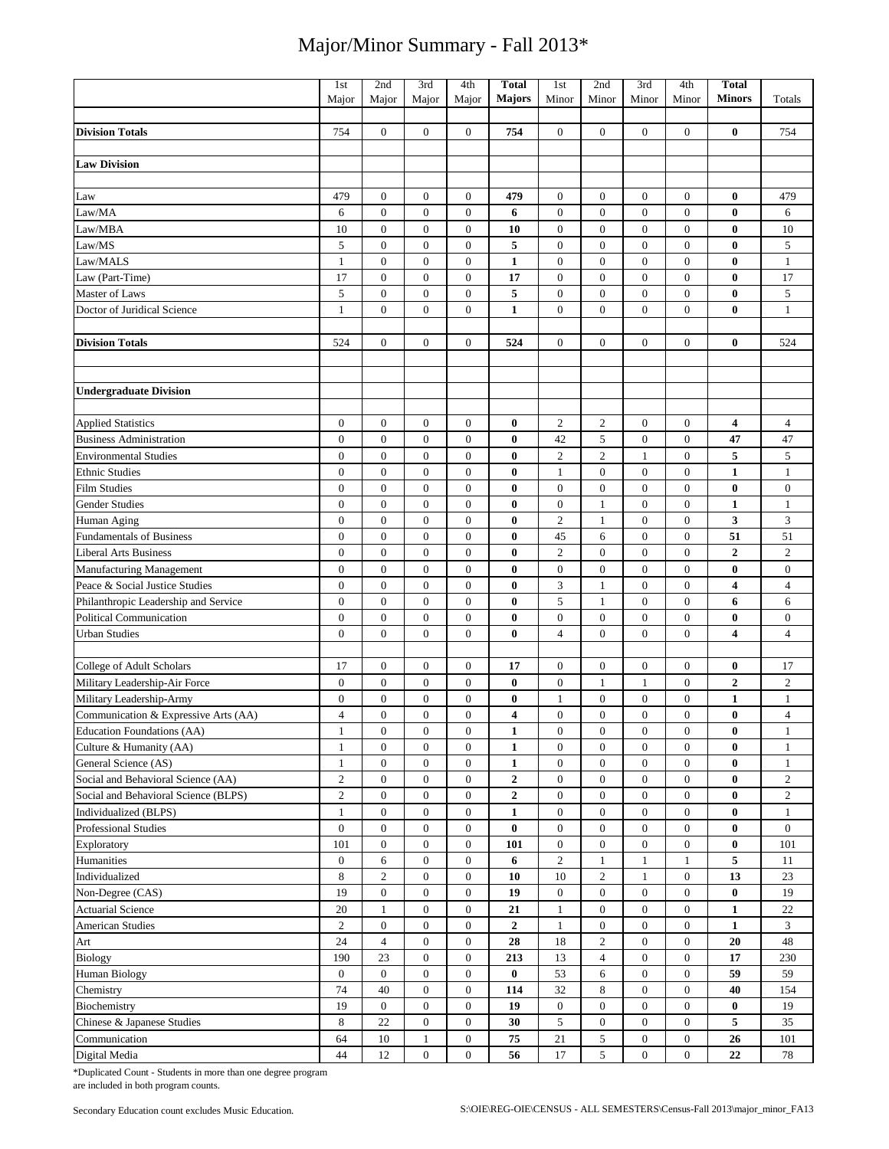|                                      | 1st              | 2nd              | 3rd              | 4th              | <b>Total</b>     | 1st              | 2nd              | 3rd              | 4th              | <b>Total</b>            |                  |
|--------------------------------------|------------------|------------------|------------------|------------------|------------------|------------------|------------------|------------------|------------------|-------------------------|------------------|
|                                      | Major            | Major            | Major            | Major            | Majors           | Minor            | Minor            | Minor            | Minor            | <b>Minors</b>           | Totals           |
|                                      |                  |                  |                  |                  |                  |                  |                  |                  |                  |                         |                  |
| <b>Division Totals</b>               | 754              | $\boldsymbol{0}$ | $\boldsymbol{0}$ | $\mathbf{0}$     | 754              | $\boldsymbol{0}$ | $\boldsymbol{0}$ | $\boldsymbol{0}$ | $\boldsymbol{0}$ | $\bf{0}$                | 754              |
|                                      |                  |                  |                  |                  |                  |                  |                  |                  |                  |                         |                  |
| <b>Law Division</b>                  |                  |                  |                  |                  |                  |                  |                  |                  |                  |                         |                  |
|                                      |                  |                  |                  |                  |                  |                  |                  |                  |                  |                         |                  |
| Law                                  | 479              | $\boldsymbol{0}$ | $\mathbf{0}$     | $\boldsymbol{0}$ | 479              | $\boldsymbol{0}$ | $\boldsymbol{0}$ | $\boldsymbol{0}$ | $\boldsymbol{0}$ | $\bf{0}$                | 479              |
| Law/MA                               | 6                | $\boldsymbol{0}$ | $\mathbf{0}$     | $\overline{0}$   | 6                | $\boldsymbol{0}$ | $\boldsymbol{0}$ | $\boldsymbol{0}$ | $\boldsymbol{0}$ | $\bf{0}$                | 6                |
| Law/MBA                              | 10               | $\boldsymbol{0}$ | $\boldsymbol{0}$ | $\mathbf{0}$     | 10               | $\boldsymbol{0}$ | $\boldsymbol{0}$ | $\boldsymbol{0}$ | $\boldsymbol{0}$ | $\bf{0}$                | 10               |
| Law/MS                               | 5                | $\mathbf{0}$     | $\mathbf{0}$     | $\overline{0}$   | 5                | $\mathbf{0}$     | $\mathbf{0}$     | $\mathbf{0}$     | $\mathbf{0}$     | $\bf{0}$                | 5                |
| Law/MALS                             | $\mathbf{1}$     | $\boldsymbol{0}$ | $\boldsymbol{0}$ | $\boldsymbol{0}$ | $\mathbf{1}$     | $\overline{0}$   | $\boldsymbol{0}$ | $\mathbf{0}$     | $\boldsymbol{0}$ | $\bf{0}$                | $\mathbf{1}$     |
| Law (Part-Time)                      | 17               | $\mathbf{0}$     | $\mathbf{0}$     | $\overline{0}$   | 17               | $\boldsymbol{0}$ | $\mathbf{0}$     | $\boldsymbol{0}$ | $\boldsymbol{0}$ | $\bf{0}$                | 17               |
| Master of Laws                       | 5                | $\mathbf{0}$     | $\boldsymbol{0}$ | $\boldsymbol{0}$ | 5                | $\boldsymbol{0}$ | $\boldsymbol{0}$ | $\boldsymbol{0}$ | $\boldsymbol{0}$ | $\bf{0}$                | $\sqrt{5}$       |
| Doctor of Juridical Science          | $\mathbf{1}$     | $\boldsymbol{0}$ | $\boldsymbol{0}$ | $\mathbf{0}$     | $\mathbf{1}$     | $\boldsymbol{0}$ | $\boldsymbol{0}$ | $\boldsymbol{0}$ | $\boldsymbol{0}$ | $\bf{0}$                | $\mathbf{1}$     |
| <b>Division Totals</b>               | 524              | $\mathbf{0}$     | $\boldsymbol{0}$ | $\mathbf{0}$     | 524              | $\boldsymbol{0}$ | $\boldsymbol{0}$ | $\boldsymbol{0}$ | 0                | $\bf{0}$                | 524              |
|                                      |                  |                  |                  |                  |                  |                  |                  |                  |                  |                         |                  |
|                                      |                  |                  |                  |                  |                  |                  |                  |                  |                  |                         |                  |
| <b>Undergraduate Division</b>        |                  |                  |                  |                  |                  |                  |                  |                  |                  |                         |                  |
|                                      |                  |                  |                  |                  |                  |                  |                  |                  |                  |                         |                  |
| <b>Applied Statistics</b>            | $\boldsymbol{0}$ | $\boldsymbol{0}$ | $\boldsymbol{0}$ | $\boldsymbol{0}$ | $\bf{0}$         | $\overline{c}$   | $\boldsymbol{2}$ | $\boldsymbol{0}$ | 0                | 4                       | $\overline{4}$   |
| <b>Business Administration</b>       | $\mathbf{0}$     | $\boldsymbol{0}$ | $\boldsymbol{0}$ | $\boldsymbol{0}$ | 0                | 42               | 5                | $\boldsymbol{0}$ | $\boldsymbol{0}$ | 47                      | 47               |
| <b>Environmental Studies</b>         | $\boldsymbol{0}$ | $\boldsymbol{0}$ | $\boldsymbol{0}$ | $\boldsymbol{0}$ | $\bf{0}$         | $\overline{c}$   | $\overline{c}$   | 1                | $\boldsymbol{0}$ | 5                       | $\sqrt{5}$       |
| <b>Ethnic Studies</b>                | $\boldsymbol{0}$ | $\mathbf{0}$     | $\mathbf{0}$     | $\overline{0}$   | $\bf{0}$         | $\mathbf{1}$     | $\mathbf{0}$     | $\boldsymbol{0}$ | $\boldsymbol{0}$ | $\mathbf{1}$            | $\mathbf{1}$     |
| <b>Film Studies</b>                  | $\mathbf{0}$     | $\boldsymbol{0}$ | $\boldsymbol{0}$ | $\boldsymbol{0}$ | $\bf{0}$         | $\boldsymbol{0}$ | $\boldsymbol{0}$ | $\boldsymbol{0}$ | $\boldsymbol{0}$ | $\bf{0}$                | $\boldsymbol{0}$ |
| Gender Studies                       | $\mathbf{0}$     | $\mathbf{0}$     | $\mathbf{0}$     | $\overline{0}$   | $\bf{0}$         | $\overline{0}$   | $\mathbf{1}$     | $\mathbf{0}$     | $\overline{0}$   | $\mathbf{1}$            | $\mathbf{1}$     |
| Human Aging                          | $\boldsymbol{0}$ | $\mathbf{0}$     | $\boldsymbol{0}$ | $\boldsymbol{0}$ | $\bf{0}$         | $\overline{c}$   | $\mathbf{1}$     | $\boldsymbol{0}$ | $\boldsymbol{0}$ | 3                       | $\mathfrak{Z}$   |
| <b>Fundamentals of Business</b>      | $\mathbf{0}$     | $\mathbf{0}$     | $\mathbf{0}$     | $\overline{0}$   | $\bf{0}$         | 45               | 6                | $\boldsymbol{0}$ | $\boldsymbol{0}$ | 51                      | 51               |
| <b>Liberal Arts Business</b>         | $\boldsymbol{0}$ | $\boldsymbol{0}$ | $\boldsymbol{0}$ | $\boldsymbol{0}$ | 0                | $\overline{c}$   | $\boldsymbol{0}$ | $\boldsymbol{0}$ | $\boldsymbol{0}$ | $\boldsymbol{2}$        | $\overline{2}$   |
| Manufacturing Management             | $\boldsymbol{0}$ | $\boldsymbol{0}$ | $\boldsymbol{0}$ | $\mathbf{0}$     | $\bf{0}$         | $\boldsymbol{0}$ | $\boldsymbol{0}$ | $\boldsymbol{0}$ | $\boldsymbol{0}$ | $\bf{0}$                | $\mathbf{0}$     |
| Peace & Social Justice Studies       | $\boldsymbol{0}$ | $\mathbf{0}$     | $\mathbf{0}$     | $\overline{0}$   | $\bf{0}$         | 3                | $\mathbf{1}$     | $\boldsymbol{0}$ | $\mathbf{0}$     | 4                       | $\overline{4}$   |
| Philanthropic Leadership and Service | $\boldsymbol{0}$ | $\boldsymbol{0}$ | $\mathbf{0}$     | $\overline{0}$   | $\bf{0}$         | 5                | 1                | $\boldsymbol{0}$ | $\boldsymbol{0}$ | 6                       | 6                |
| <b>Political Communication</b>       | $\mathbf{0}$     | $\mathbf{0}$     | $\mathbf{0}$     | $\overline{0}$   | $\bf{0}$         | $\boldsymbol{0}$ | $\boldsymbol{0}$ | $\mathbf{0}$     | $\boldsymbol{0}$ | $\bf{0}$                | $\mathbf{0}$     |
| <b>Urban Studies</b>                 | $\overline{0}$   | $\mathbf{0}$     | $\overline{0}$   | $\overline{0}$   | $\bf{0}$         | $\overline{4}$   | $\mathbf{0}$     | $\mathbf{0}$     | $\overline{0}$   | $\overline{\mathbf{4}}$ | $\overline{4}$   |
|                                      |                  |                  |                  |                  |                  |                  |                  |                  |                  |                         |                  |
| College of Adult Scholars            | 17               | $\boldsymbol{0}$ | $\boldsymbol{0}$ | $\boldsymbol{0}$ | 17               | $\boldsymbol{0}$ | $\boldsymbol{0}$ | $\boldsymbol{0}$ | $\boldsymbol{0}$ | 0                       | 17               |
| Military Leadership-Air Force        | $\boldsymbol{0}$ | $\boldsymbol{0}$ | $\boldsymbol{0}$ | $\boldsymbol{0}$ | $\bf{0}$         | $\boldsymbol{0}$ | $\mathbf{1}$     | $\mathbf{1}$     | $\boldsymbol{0}$ | $\overline{2}$          | $\mathfrak{2}$   |
| Military Leadership-Army             | $\boldsymbol{0}$ | $\mathbf{0}$     | $\boldsymbol{0}$ | $\boldsymbol{0}$ | $\bf{0}$         | 1                | $\boldsymbol{0}$ | $\boldsymbol{0}$ | $\boldsymbol{0}$ | $\mathbf{1}$            | 1                |
| Communication & Expressive Arts (AA) | $\overline{4}$   | $\mathbf{0}$     | $\overline{0}$   | $\mathbf{0}$     | 4                | $\boldsymbol{0}$ | $\boldsymbol{0}$ | $\boldsymbol{0}$ | $\boldsymbol{0}$ | $\bf{0}$                | $\overline{4}$   |
| Education Foundations (AA)           | $\mathbf{1}$     | $\boldsymbol{0}$ | $\boldsymbol{0}$ | $\boldsymbol{0}$ | 1                | $\boldsymbol{0}$ | $\boldsymbol{0}$ | 0                | $\boldsymbol{0}$ | $\bf{0}$                | -1               |
| Culture & Humanity (AA)              | $\mathbf{1}$     | $\overline{0}$   | $\boldsymbol{0}$ | $\mathbf{0}$     | $\mathbf{1}$     | $\boldsymbol{0}$ | $\boldsymbol{0}$ | $\boldsymbol{0}$ | $\boldsymbol{0}$ | $\bf{0}$                | $\mathbf{1}$     |
| General Science (AS)                 | $\mathbf{1}$     | $\mathbf{0}$     | $\boldsymbol{0}$ | $\boldsymbol{0}$ | $\mathbf{1}$     | $\boldsymbol{0}$ | $\boldsymbol{0}$ | $\boldsymbol{0}$ | $\boldsymbol{0}$ | $\bf{0}$                | $\mathbf{1}$     |
| Social and Behavioral Science (AA)   | $\overline{c}$   | $\mathbf{0}$     | $\boldsymbol{0}$ | $\boldsymbol{0}$ | $\boldsymbol{2}$ | $\boldsymbol{0}$ | $\boldsymbol{0}$ | $\boldsymbol{0}$ | $\boldsymbol{0}$ | $\bf{0}$                | $\overline{2}$   |
| Social and Behavioral Science (BLPS) | $\overline{c}$   | $\mathbf{0}$     | $\boldsymbol{0}$ | $\boldsymbol{0}$ | $\boldsymbol{2}$ | $\boldsymbol{0}$ | $\boldsymbol{0}$ | $\boldsymbol{0}$ | $\overline{0}$   | $\bf{0}$                | $\overline{c}$   |
| Individualized (BLPS)                | $\mathbf{1}$     | $\boldsymbol{0}$ | $\boldsymbol{0}$ | $\boldsymbol{0}$ | $\mathbf{1}$     | $\boldsymbol{0}$ | $\boldsymbol{0}$ | $\boldsymbol{0}$ | $\mathbf{0}$     | $\bf{0}$                | 1                |
| <b>Professional Studies</b>          | $\mathbf{0}$     | $\mathbf{0}$     | $\boldsymbol{0}$ | $\mathbf{0}$     | $\bf{0}$         | $\boldsymbol{0}$ | $\boldsymbol{0}$ | $\boldsymbol{0}$ | $\mathbf{0}$     | 0                       | $\mathbf{0}$     |
| Exploratory                          | 101              | $\mathbf{0}$     | $\boldsymbol{0}$ | $\boldsymbol{0}$ | 101              | $\boldsymbol{0}$ | $\boldsymbol{0}$ | $\boldsymbol{0}$ | 0                | 0                       | 101              |
| Humanities                           | $\mathbf{0}$     | 6                | $\boldsymbol{0}$ | $\boldsymbol{0}$ | 6                | $\overline{c}$   | $\mathbf{1}$     | $\mathbf{1}$     | $\mathbf{1}$     | 5                       | 11               |
| Individualized                       | 8                | $\sqrt{2}$       | $\boldsymbol{0}$ | $\boldsymbol{0}$ | 10               | 10               | $\overline{c}$   | $\mathbf{1}$     | $\boldsymbol{0}$ | 13                      | $23\,$           |
| Non-Degree (CAS)                     | 19               | $\mathbf{0}$     | $\boldsymbol{0}$ | $\boldsymbol{0}$ | 19               | $\boldsymbol{0}$ | $\boldsymbol{0}$ | $\boldsymbol{0}$ | $\boldsymbol{0}$ | $\bf{0}$                | 19               |
| Actuarial Science                    | 20               | $\mathbf{1}$     | $\mathbf{0}$     | $\mathbf{0}$     | 21               | $\mathbf{1}$     | $\boldsymbol{0}$ | $\boldsymbol{0}$ | $\boldsymbol{0}$ | $\mathbf{1}$            | 22               |
| American Studies                     | $\overline{c}$   | $\boldsymbol{0}$ | $\boldsymbol{0}$ | $\boldsymbol{0}$ | $\boldsymbol{2}$ | $\mathbf{1}$     | $\boldsymbol{0}$ | $\boldsymbol{0}$ | $\boldsymbol{0}$ | $\mathbf{1}$            | 3                |
| Art                                  | 24               | $\overline{4}$   | $\boldsymbol{0}$ | $\boldsymbol{0}$ | 28               | 18               | $\overline{c}$   | $\boldsymbol{0}$ | $\boldsymbol{0}$ | 20                      | 48               |
| Biology                              | 190              | 23               | $\boldsymbol{0}$ | $\boldsymbol{0}$ | 213              | 13               | $\overline{4}$   | $\boldsymbol{0}$ | $\boldsymbol{0}$ | 17                      | 230              |
| Human Biology                        | $\boldsymbol{0}$ | $\mathbf{0}$     | $\boldsymbol{0}$ | $\boldsymbol{0}$ | $\bf{0}$         | 53               | 6                | $\boldsymbol{0}$ | $\boldsymbol{0}$ | 59                      | 59               |
| Chemistry                            | 74               | 40               | $\boldsymbol{0}$ | $\boldsymbol{0}$ | 114              | $32\,$           | 8                | $\boldsymbol{0}$ | $\boldsymbol{0}$ | 40                      | 154              |
| Biochemistry                         | 19               | $\mathbf{0}$     | $\boldsymbol{0}$ | $\boldsymbol{0}$ | 19               | $\boldsymbol{0}$ | $\boldsymbol{0}$ | $\boldsymbol{0}$ | 0                | $\bf{0}$                | 19               |
| Chinese & Japanese Studies           | 8                | 22               | $\mathbf{0}$     | $\overline{0}$   | 30               | 5                | $\boldsymbol{0}$ | $\boldsymbol{0}$ | $\boldsymbol{0}$ | 5                       | 35               |
| Communication                        | 64               | $10\,$           | $\mathbf{1}$     | $\overline{0}$   | 75               | 21               | 5                | $\boldsymbol{0}$ | $\overline{0}$   | 26                      | 101              |
| Digital Media                        | 44               | 12               | $\boldsymbol{0}$ | $\overline{0}$   | 56               | 17               | 5                | $\boldsymbol{0}$ | $\boldsymbol{0}$ | 22                      | 78               |

\*Duplicated Count - Students in more than one degree program are included in both program counts.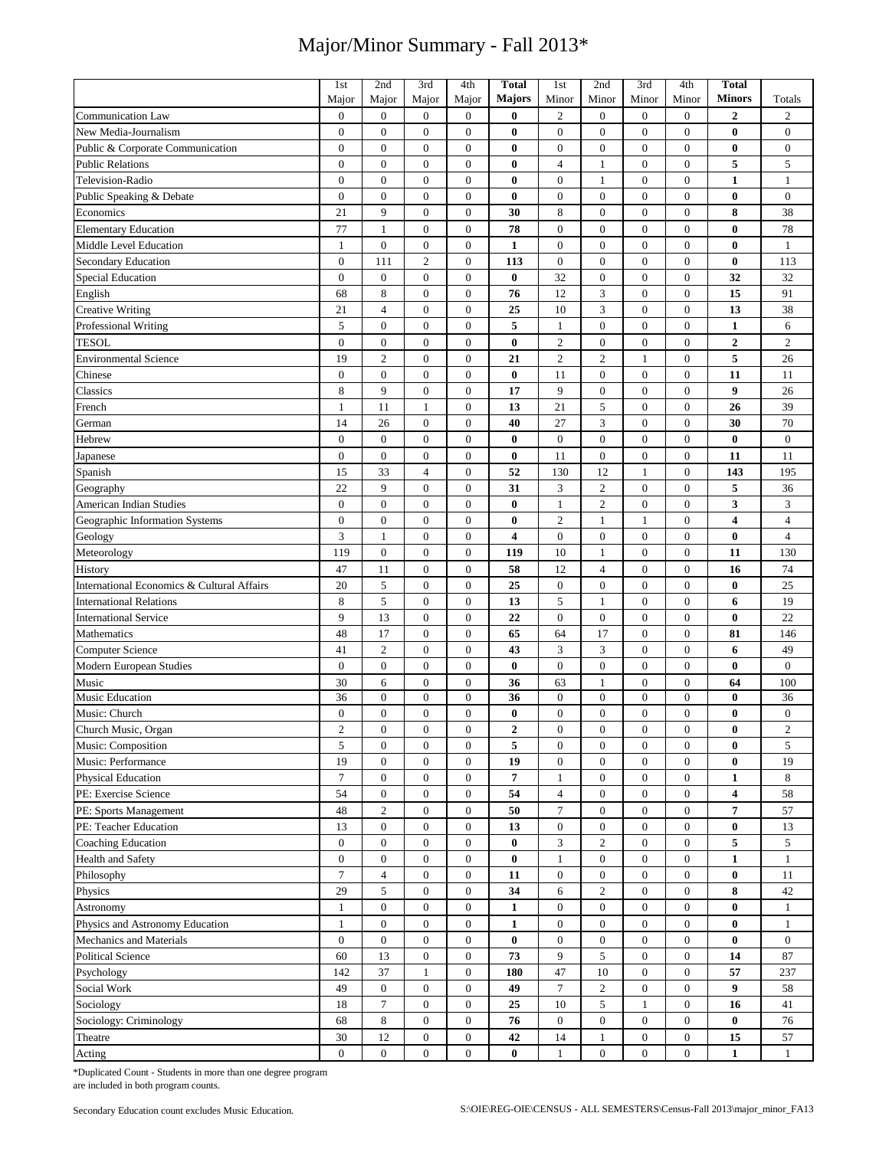|                                            | 1st                    | 2nd                      | 3rd              | 4th              | <b>Total</b>     | 1st              | 2nd                            | 3rd                              | 4th              | Total         |                        |
|--------------------------------------------|------------------------|--------------------------|------------------|------------------|------------------|------------------|--------------------------------|----------------------------------|------------------|---------------|------------------------|
|                                            | Major                  | Major                    | Major            | Major            | Majors           | Minor            | Minor                          | Minor                            | Minor            | <b>Minors</b> | Totals                 |
| <b>Communication Law</b>                   | $\boldsymbol{0}$       | $\boldsymbol{0}$         | $\boldsymbol{0}$ | $\boldsymbol{0}$ | $\bf{0}$         | $\mathfrak{2}$   | $\mathbf{0}$                   | $\overline{0}$                   | $\boldsymbol{0}$ | 2             | $\overline{c}$         |
| New Media-Journalism                       | $\mathbf{0}$           | $\mathbf{0}$             | $\mathbf{0}$     | $\boldsymbol{0}$ | $\bf{0}$         | $\mathbf{0}$     | $\mathbf{0}$                   | $\mathbf{0}$                     | $\overline{0}$   | $\bf{0}$      | $\boldsymbol{0}$       |
| Public & Corporate Communication           | $\boldsymbol{0}$       | $\mathbf{0}$             | $\mathbf{0}$     | $\boldsymbol{0}$ | $\bf{0}$         | $\mathbf{0}$     | $\mathbf{0}$                   | $\mathbf{0}$                     | $\boldsymbol{0}$ | $\bf{0}$      | $\boldsymbol{0}$       |
| <b>Public Relations</b>                    | $\boldsymbol{0}$       | $\boldsymbol{0}$         | $\overline{0}$   | $\overline{0}$   | $\bf{0}$         | $\overline{4}$   | $\mathbf{1}$                   | $\overline{0}$                   | $\boldsymbol{0}$ | 5             | 5                      |
| Television-Radio                           | $\mathbf{0}$           | $\mathbf{0}$             | $\mathbf{0}$     | $\mathbf{0}$     | $\bf{0}$         | $\mathbf{0}$     | $\mathbf{1}$                   | $\mathbf{0}$                     | $\boldsymbol{0}$ | $\mathbf{1}$  | $\mathbf{1}$           |
| Public Speaking & Debate                   | $\boldsymbol{0}$       | $\boldsymbol{0}$         | $\boldsymbol{0}$ | $\boldsymbol{0}$ | $\bf{0}$         | $\boldsymbol{0}$ | $\boldsymbol{0}$               | $\mathbf{0}$                     | $\boldsymbol{0}$ | 0             | $\boldsymbol{0}$       |
| Economics                                  | 21                     | 9                        | $\mathbf{0}$     | $\boldsymbol{0}$ | 30               | 8                | $\overline{0}$                 | $\mathbf{0}$                     | $\boldsymbol{0}$ | 8             | 38                     |
| <b>Elementary Education</b>                | 77                     | $\mathbf{1}$             | $\boldsymbol{0}$ | $\boldsymbol{0}$ | 78               | $\mathbf{0}$     | $\mathbf{0}$                   | $\mathbf{0}$                     | $\boldsymbol{0}$ | $\bf{0}$      | 78                     |
| Middle Level Education                     | $\mathbf{1}$           | $\mathbf{0}$             | $\mathbf{0}$     | $\boldsymbol{0}$ | 1                | $\mathbf{0}$     | $\mathbf{0}$                   | $\mathbf{0}$                     | $\boldsymbol{0}$ | 0             | $\mathbf{1}$           |
| Secondary Education                        | $\boldsymbol{0}$       | 111                      | $\overline{2}$   | $\boldsymbol{0}$ | 113              | $\boldsymbol{0}$ | $\boldsymbol{0}$               | $\boldsymbol{0}$                 | $\boldsymbol{0}$ | $\bf{0}$      | 113                    |
| <b>Special Education</b>                   | $\boldsymbol{0}$       | $\boldsymbol{0}$         | $\boldsymbol{0}$ | $\boldsymbol{0}$ | $\bf{0}$         | 32               | $\boldsymbol{0}$               | $\boldsymbol{0}$                 | $\mathbf{0}$     | 32            | 32                     |
| English                                    | 68                     | 8                        | $\boldsymbol{0}$ | $\boldsymbol{0}$ | 76               | 12               | 3                              | $\mathbf{0}$                     | $\boldsymbol{0}$ | 15            | 91                     |
| <b>Creative Writing</b>                    | 21                     | $\overline{4}$           | $\boldsymbol{0}$ | $\boldsymbol{0}$ | 25               | 10               | 3                              | $\mathbf{0}$                     | $\boldsymbol{0}$ | 13            | 38                     |
| Professional Writing                       | 5                      | $\boldsymbol{0}$         | $\boldsymbol{0}$ | $\boldsymbol{0}$ | 5                | $\mathbf{1}$     | $\boldsymbol{0}$               | $\boldsymbol{0}$                 | $\boldsymbol{0}$ | $\mathbf{1}$  | 6                      |
| <b>TESOL</b>                               | $\boldsymbol{0}$       | $\boldsymbol{0}$         | $\boldsymbol{0}$ | $\boldsymbol{0}$ | $\bf{0}$         | $\sqrt{2}$       | $\boldsymbol{0}$               | $\boldsymbol{0}$                 | $\boldsymbol{0}$ | $\mathbf{2}$  | $\sqrt{2}$             |
| <b>Environmental Science</b>               | 19                     | $\overline{c}$           | $\mathbf{0}$     | $\boldsymbol{0}$ | 21               | $\overline{2}$   | $\mathbf{2}$                   | 1                                | $\boldsymbol{0}$ | 5             | 26                     |
| Chinese                                    | $\boldsymbol{0}$       | $\mathbf{0}$             | $\boldsymbol{0}$ | $\boldsymbol{0}$ | $\bf{0}$         | 11               | $\boldsymbol{0}$               | $\boldsymbol{0}$                 | $\boldsymbol{0}$ | 11            | 11                     |
| Classics                                   | 8                      | 9                        | $\mathbf{0}$     | $\mathbf{0}$     | 17               | 9                | $\overline{0}$                 | $\mathbf{0}$                     | $\overline{0}$   | 9             | 26                     |
| French                                     | $\mathbf{1}$           | 11                       | 1                | $\boldsymbol{0}$ | 13               | 21               | $\sqrt{5}$                     | $\boldsymbol{0}$                 | $\boldsymbol{0}$ | 26            | 39                     |
| German                                     | 14                     | 26                       | $\boldsymbol{0}$ | $\boldsymbol{0}$ | 40               | 27               | 3                              | $\mathbf{0}$                     | $\boldsymbol{0}$ | 30            | 70                     |
| Hebrew                                     | $\boldsymbol{0}$       | $\boldsymbol{0}$         | $\boldsymbol{0}$ | $\boldsymbol{0}$ | $\bf{0}$         | $\mathbf{0}$     | $\boldsymbol{0}$               | $\boldsymbol{0}$                 | $\boldsymbol{0}$ | $\bf{0}$      | $\boldsymbol{0}$       |
| Japanese                                   | $\boldsymbol{0}$       | $\boldsymbol{0}$         | $\boldsymbol{0}$ | $\boldsymbol{0}$ | $\bf{0}$         | 11               | $\boldsymbol{0}$               | $\boldsymbol{0}$                 | $\boldsymbol{0}$ | 11            | 11                     |
| Spanish                                    | 15                     | 33                       | $\overline{4}$   | $\boldsymbol{0}$ | 52               | 130              | 12                             | $\mathbf{1}$                     | $\boldsymbol{0}$ | 143           | 195                    |
| Geography                                  | 22                     | 9                        | $\boldsymbol{0}$ | $\boldsymbol{0}$ | 31               | 3                | $\overline{2}$                 | $\boldsymbol{0}$                 | $\boldsymbol{0}$ | 5             | 36                     |
|                                            | $\overline{0}$         | $\mathbf{0}$             | $\mathbf{0}$     | $\mathbf{0}$     | $\bf{0}$         |                  | $\overline{2}$                 | $\mathbf{0}$                     | $\boldsymbol{0}$ | 3             | 3                      |
| American Indian Studies                    |                        |                          |                  |                  |                  | $\mathbf{1}$     |                                |                                  |                  |               |                        |
| Geographic Information Systems             | $\boldsymbol{0}$       | $\boldsymbol{0}$         | $\boldsymbol{0}$ | $\boldsymbol{0}$ | $\bf{0}$         | $\overline{2}$   | $\mathbf{1}$                   | $\mathbf{1}$                     | $\boldsymbol{0}$ | 4             | $\overline{4}$         |
| Geology                                    | 3                      | $\mathbf{1}$             | $\boldsymbol{0}$ | $\boldsymbol{0}$ | 4                | $\mathbf{0}$     | $\mathbf{0}$                   | $\mathbf{0}$                     | $\boldsymbol{0}$ | $\bf{0}$      | $\overline{4}$         |
| Meteorology                                | 119                    | $\boldsymbol{0}$         | $\boldsymbol{0}$ | $\boldsymbol{0}$ | 119              | 10               | $\mathbf{1}$                   | $\boldsymbol{0}$                 | $\boldsymbol{0}$ | 11            | 130<br>74              |
| History                                    | 47                     | 11                       | $\boldsymbol{0}$ | $\boldsymbol{0}$ | 58               | 12               | $\overline{4}$                 | $\boldsymbol{0}$                 | $\boldsymbol{0}$ | 16            |                        |
| International Economics & Cultural Affairs | 20                     | 5                        | $\boldsymbol{0}$ | $\boldsymbol{0}$ | 25               | $\boldsymbol{0}$ | $\boldsymbol{0}$               | $\mathbf{0}$                     | $\boldsymbol{0}$ | $\bf{0}$      | 25                     |
| <b>International Relations</b>             | 8                      | 5                        | $\boldsymbol{0}$ | $\boldsymbol{0}$ | 13               | $\sqrt{5}$       | $\mathbf{1}$                   | $\mathbf{0}$                     | $\boldsymbol{0}$ | 6             | 19                     |
| <b>International Service</b>               | 9                      | 13                       | $\mathbf{0}$     | $\boldsymbol{0}$ | 22               | $\mathbf{0}$     | $\mathbf{0}$                   | $\mathbf{0}$                     | $\boldsymbol{0}$ | $\bf{0}$      | 22                     |
| Mathematics                                | 48                     | 17                       | $\overline{0}$   | $\overline{0}$   | 65               | 64               | 17                             | $\mathbf{0}$                     | $\boldsymbol{0}$ | 81            | 146                    |
| Computer Science                           | 41                     | $\overline{c}$           | $\mathbf{0}$     | $\boldsymbol{0}$ | 43               | 3                | 3                              | $\mathbf{0}$                     | $\boldsymbol{0}$ | 6             | 49                     |
| Modern European Studies                    | $\boldsymbol{0}$       | $\boldsymbol{0}$         | $\boldsymbol{0}$ | $\boldsymbol{0}$ | $\bf{0}$         | $\boldsymbol{0}$ | $\boldsymbol{0}$               | $\boldsymbol{0}$                 | $\boldsymbol{0}$ | $\bf{0}$      | $\boldsymbol{0}$       |
| Music                                      | 30                     | 6                        | $\boldsymbol{0}$ | $\boldsymbol{0}$ | 36               | 63               | $\mathbf{1}$                   | $\mathbf{0}$                     | $\boldsymbol{0}$ | 64            | 100                    |
| Music Education                            | 36<br>$\boldsymbol{0}$ | $\boldsymbol{0}$         | $\boldsymbol{0}$ | $\boldsymbol{0}$ | 36<br>$\bf{0}$   | $\boldsymbol{0}$ | $\mathbf{0}$<br>$\overline{0}$ | $\boldsymbol{0}$<br>$\mathbf{0}$ | $\boldsymbol{0}$ | 0<br>$\bf{0}$ | 36<br>$\boldsymbol{0}$ |
| Music: Church                              |                        | $\boldsymbol{0}$         | $\boldsymbol{0}$ | $\boldsymbol{0}$ |                  | $\mathbf{0}$     |                                |                                  | $\boldsymbol{0}$ |               |                        |
| Church Music, Organ                        | $\sqrt{2}$             | $\boldsymbol{0}$         | $\boldsymbol{0}$ | $\boldsymbol{0}$ | $\boldsymbol{2}$ | $\boldsymbol{0}$ | $\boldsymbol{0}$               | $\boldsymbol{0}$                 | $\boldsymbol{0}$ | $\bf{0}$      | $\overline{c}$         |
| Music: Composition                         | 5                      | $\boldsymbol{0}$         | $\boldsymbol{0}$ | $\mathbf{0}$     | 5                | $\mathbf{0}$     | $\boldsymbol{0}$               | $\boldsymbol{0}$                 | $\boldsymbol{0}$ | $\bf{0}$      | 5                      |
| Music: Performance                         | 19                     | $\mathbf{0}$             | $\boldsymbol{0}$ | $\overline{0}$   | 19               | $\boldsymbol{0}$ | $\boldsymbol{0}$               | $\boldsymbol{0}$                 | $\mathbf{0}$     | $\bf{0}$      | 19                     |
| <b>Physical Education</b>                  | $\tau$                 | $\mathbf{0}$             | $\boldsymbol{0}$ | $\mathbf{0}$     | 7                | $\mathbf{1}$     | $\mathbf{0}$                   | $\boldsymbol{0}$                 | $\boldsymbol{0}$ | $\mathbf{1}$  | 8                      |
| PE: Exercise Science                       | 54                     | $\boldsymbol{0}$         | $\boldsymbol{0}$ | $\boldsymbol{0}$ | 54               | $\overline{4}$   | $\mathbf{0}$                   | $\boldsymbol{0}$                 | $\boldsymbol{0}$ | 4             | 58                     |
| PE: Sports Management                      | 48                     | $\overline{c}$           | $\boldsymbol{0}$ | $\boldsymbol{0}$ | 50               | $\boldsymbol{7}$ | $\boldsymbol{0}$               | $\boldsymbol{0}$                 | $\boldsymbol{0}$ | 7             | 57                     |
| PE: Teacher Education                      | 13                     | $\mathbf{0}$             | $\boldsymbol{0}$ | $\mathbf{0}$     | 13               | $\boldsymbol{0}$ | $\mathbf{0}$                   | $\boldsymbol{0}$                 | $\boldsymbol{0}$ | $\bf{0}$      | 13                     |
| <b>Coaching Education</b>                  | $\boldsymbol{0}$       | $\overline{0}$           | $\boldsymbol{0}$ | $\boldsymbol{0}$ | $\bf{0}$         | 3                | $\overline{c}$                 | $\overline{0}$                   | $\overline{0}$   | 5             | 5                      |
| Health and Safety                          | $\boldsymbol{0}$       | $\boldsymbol{0}$         | $\boldsymbol{0}$ | $\mathbf{0}$     | $\bf{0}$         | $\mathbf{1}$     | $\boldsymbol{0}$               | $\boldsymbol{0}$                 | $\boldsymbol{0}$ | $\mathbf{1}$  | $\mathbf{1}$           |
| Philosophy                                 | $\boldsymbol{7}$       | $\overline{\mathcal{L}}$ | $\boldsymbol{0}$ | $\boldsymbol{0}$ | 11               | $\mathbf{0}$     | $\boldsymbol{0}$               | $\overline{0}$                   | $\boldsymbol{0}$ | $\pmb{0}$     | 11                     |
| Physics                                    | 29                     | 5                        | $\boldsymbol{0}$ | $\overline{0}$   | 34               | 6                | $\mathbf{2}$                   | $\boldsymbol{0}$                 | $\mathbf{0}$     | 8             | 42                     |
| Astronomy                                  | $\mathbf{1}$           | $\boldsymbol{0}$         | $\boldsymbol{0}$ | $\boldsymbol{0}$ | $\mathbf{1}$     | $\boldsymbol{0}$ | $\boldsymbol{0}$               | $\boldsymbol{0}$                 | 0                | $\bf{0}$      | $\mathbf{1}$           |
| Physics and Astronomy Education            | $\mathbf{1}$           | $\mathbf{0}$             | $\boldsymbol{0}$ | $\mathbf{0}$     | $\mathbf{1}$     | $\mathbf{0}$     | $\boldsymbol{0}$               | $\boldsymbol{0}$                 | $\boldsymbol{0}$ | $\bf{0}$      | $\mathbf{1}$           |
| Mechanics and Materials                    | $\boldsymbol{0}$       | $\mathbf{0}$             | $\boldsymbol{0}$ | $\mathbf{0}$     | $\bf{0}$         | $\mathbf{0}$     | $\boldsymbol{0}$               | $\boldsymbol{0}$                 | $\boldsymbol{0}$ | $\bf{0}$      | $\mathbf{0}$           |
| <b>Political Science</b>                   | 60                     | 13                       | $\boldsymbol{0}$ | $\boldsymbol{0}$ | 73               | 9                | 5                              | $\boldsymbol{0}$                 | $\boldsymbol{0}$ | ${\bf 14}$    | $87\,$                 |
| Psychology                                 | 142                    | 37                       | $\mathbf{1}$     | $\boldsymbol{0}$ | 180              | 47               | $10\,$                         | $\boldsymbol{0}$                 | $\boldsymbol{0}$ | 57            | 237                    |
| Social Work                                | 49                     | $\mathbf{0}$             | $\boldsymbol{0}$ | $\boldsymbol{0}$ | 49               | $\tau$           | $\overline{c}$                 | $\overline{0}$                   | $\boldsymbol{0}$ | 9             | 58                     |
| Sociology                                  | 18                     | $\tau$                   | $\mathbf{0}$     | $\boldsymbol{0}$ | 25               | 10               | 5                              | 1                                | $\boldsymbol{0}$ | 16            | 41                     |
| Sociology: Criminology                     | 68                     | 8                        | $\boldsymbol{0}$ | $\boldsymbol{0}$ | 76               | $\overline{0}$   | $\boldsymbol{0}$               | $\boldsymbol{0}$                 | 0                | $\bf{0}$      | 76                     |
| Theatre                                    | 30                     | 12                       | $\boldsymbol{0}$ | $\boldsymbol{0}$ | 42               | 14               | $\mathbf{1}$                   | $\boldsymbol{0}$                 | $\boldsymbol{0}$ | 15            | 57                     |
| Acting                                     | $\boldsymbol{0}$       | $\boldsymbol{0}$         | $\mathbf{0}$     | $\overline{0}$   | $\bf{0}$         | 1                | $\mathbf{0}$                   | $\boldsymbol{0}$                 | $\boldsymbol{0}$ | $\mathbf{1}$  | $\mathbf{1}$           |

\*Duplicated Count - Students in more than one degree program are included in both program counts.